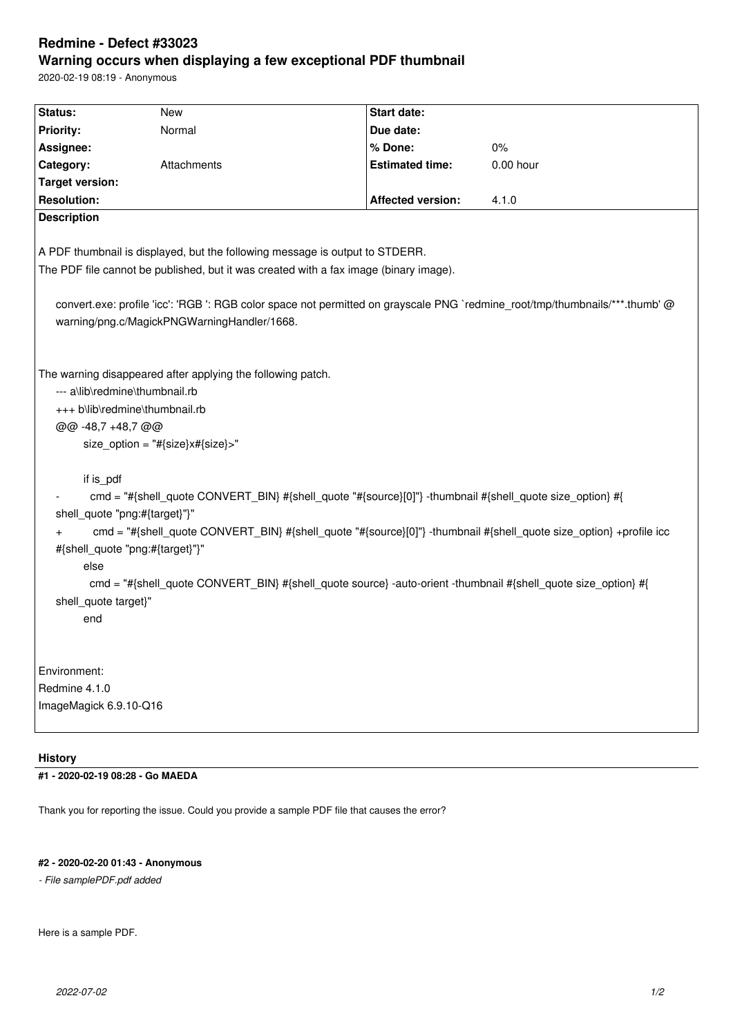# **Redmine - Defect #33023 Warning occurs when displaying a few exceptional PDF thumbnail**

2020-02-19 08:19 - Anonymous

| Status:                                                                                                                      | <b>New</b>  | <b>Start date:</b>       |             |
|------------------------------------------------------------------------------------------------------------------------------|-------------|--------------------------|-------------|
| Priority:                                                                                                                    | Normal      | Due date:                |             |
| Assignee:                                                                                                                    |             | % Done:                  | $0\%$       |
| Category:                                                                                                                    | Attachments | <b>Estimated time:</b>   | $0.00$ hour |
| <b>Target version:</b>                                                                                                       |             |                          |             |
| <b>Resolution:</b>                                                                                                           |             | <b>Affected version:</b> | 4.1.0       |
| <b>Description</b>                                                                                                           |             |                          |             |
|                                                                                                                              |             |                          |             |
| A PDF thumbnail is displayed, but the following message is output to STDERR.                                                 |             |                          |             |
| The PDF file cannot be published, but it was created with a fax image (binary image).                                        |             |                          |             |
|                                                                                                                              |             |                          |             |
| convert.exe: profile 'icc': 'RGB ': RGB color space not permitted on grayscale PNG `redmine_root/tmp/thumbnails/***.thumb' @ |             |                          |             |
| warning/png.c/MagickPNGWarningHandler/1668.                                                                                  |             |                          |             |
|                                                                                                                              |             |                          |             |
|                                                                                                                              |             |                          |             |
| The warning disappeared after applying the following patch.                                                                  |             |                          |             |
| --- a\lib\redmine\thumbnail.rb                                                                                               |             |                          |             |
| +++ b\lib\redmine\thumbnail.rb                                                                                               |             |                          |             |
| @@ -48,7 +48,7 @@                                                                                                            |             |                          |             |
| size_option = "#{size}x#{size}>"                                                                                             |             |                          |             |
|                                                                                                                              |             |                          |             |
| if is pdf                                                                                                                    |             |                          |             |
| cmd = "#{shell_quote CONVERT_BIN} #{shell_quote "#{source}[0]"} -thumbnail #{shell_quote size_option} #{                     |             |                          |             |
| shell_quote "png:#{target}"}"                                                                                                |             |                          |             |
| cmd = "#{shell_quote CONVERT_BIN} #{shell_quote "#{source}[0]"} -thumbnail #{shell_quote size_option} +profile icc           |             |                          |             |
| #{shell_quote "png:#{target}"}"                                                                                              |             |                          |             |
| else                                                                                                                         |             |                          |             |
| cmd = "#{shell quote CONVERT BIN} #{shell quote source} -auto-orient -thumbnail #{shell quote size option} #{                |             |                          |             |
| shell_quote target}"                                                                                                         |             |                          |             |
| end                                                                                                                          |             |                          |             |
|                                                                                                                              |             |                          |             |
|                                                                                                                              |             |                          |             |
| Environment:                                                                                                                 |             |                          |             |
| Redmine 4.1.0                                                                                                                |             |                          |             |
| ImageMagick 6.9.10-Q16                                                                                                       |             |                          |             |
|                                                                                                                              |             |                          |             |
|                                                                                                                              |             |                          |             |

## **History**

**#1 - 2020-02-19 08:28 - Go MAEDA**

Thank you for reporting the issue. Could you provide a sample PDF file that causes the error?

## **#2 - 2020-02-20 01:43 - Anonymous**

*- File samplePDF.pdf added*

Here is a sample PDF.